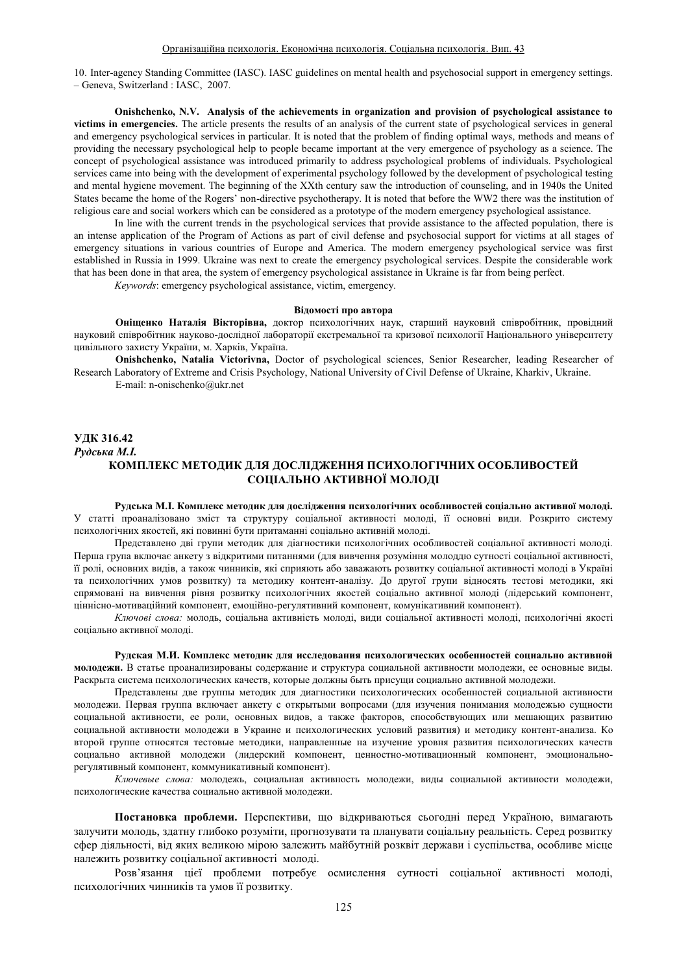10. Inter-agency Standing Committee (IASC). IASC guidelines on mental health and psychosocial support in emergency settings. ± Geneva, Switzerland : IASC, 2007.

**Onishchenko, N.V. Analysis of the achievements in organization and provision of psychological assistance to victims in emergencies.** The article presents the results of an analysis of the current state of psychological services in general and emergency psychological services in particular. It is noted that the problem of finding optimal ways, methods and means of providing the necessary psychological help to people became important at the very emergence of psychology as a science. The concept of psychological assistance was introduced primarily to address psychological problems of individuals. Psychological services came into being with the development of experimental psychology followed by the development of psychological testing and mental hygiene movement. The beginning of the XXth century saw the introduction of counseling, and in 1940s the United States became the home of the Rogers' non-directive psychotherapy. It is noted that before the WW2 there was the institution of religious care and social workers which can be considered as a prototype of the modern emergency psychological assistance.

In line with the current trends in the psychological services that provide assistance to the affected population, there is an intense application of the Program of Actions as part of civil defense and psychosocial support for victims at all stages of emergency situations in various countries of Europe and America. The modern emergency psychological service was first established in Russia in 1999. Ukraine was next to create the emergency psychological services. Despite the considerable work that has been done in that area, the system of emergency psychological assistance in Ukraine is far from being perfect.

*Keywords*: emergency psychological assistance, victim, emergency.

#### **Відомості про автора**

Оніщенко Наталія Вікторівна, доктор психологічних наук, старший науковий співробітник, провідний науковий співробітник науково-дослідної лабораторії екстремальної та кризової психології Національного університету цивільного захисту України, м. Харків, Україна.

**Onishchenko, Natalia Victorivna,** Doctor of psychological sciences, Senior Researcher, leading Researcher of Research Laboratory of Extreme and Crisis Psychology, National University of Civil Defense of Ukraine, Kharkiv, Ukraine. E-mail: n-onischenko@ukr.net

# **ɍȾɄ316.42 Рудська М.І.** КОМПЛЕКС МЕТОДИК ДЛЯ ДОСЛІДЖЕННЯ ПСИХОЛОГІЧНИХ ОСОБЛИВОСТЕЙ СОЦІАЛЬНО АКТИВНОЇ МОЛОДІ

Рулська М.І. Комплекс метолик лля лослілження психологічних особливостей соціально активної мололі. У статті проаналізовано зміст та структуру соціальної активності молоді, її основні види. Розкрито систему психологічних якостей, які повинні бути притаманні соціально активній молоді.

Представлено дві групи методик для діагностики психологічних особливостей соціальної активності молоді. Перша група включає анкету з відкритими питаннями (для вивчення розуміння молоддю сутності соціальної активності, її ролі, основних видів, а також чинників, які сприяють або заважають розвитку соціальної активності молоді в Україні та психологічних умов розвитку) та методику контент-аналізу. До другої групи відносять тестові методики, які спрямовані на вивчення рівня розвитку психологічних якостей соціально активної молоді (лідерський компонент, ціннісно-мотиваційний компонент, емоційно-регулятивний компонент, комунікативний компонент).

Ключові слова: молодь, соціальна активність молоді, види соціальної активності молоді, психологічні якості couia пьно активної молоді.

Рулская М.И. Комплекс метолик лля исследования психологических особенностей социально активной молодежи. В статье проанализированы содержание и структура социальной активности молодежи, ее основные виды. Раскрыта система психологических качеств, которые должны быть присущи социально активной молодежи.

Представлены две группы методик для диагностики психологических особенностей социальной активности мололежи. Первая группа включает анкету с открытыми вопросами (лля изучения понимания мололежью сушности социальной активности, ее роли, основных видов, а также факторов, способствующих или мешающих развитию социальной активности молодежи в Украине и психологических условий развития) и методику контент-анализа. Ко второй группе относятся тестовые методики, направленные на изучение уровня развития психологических качеств социально активной молодежи (лидерский компонент, ценностно-мотивационный компонент, эмоциональнорегулятивный компонент, коммуникативный компонент).

Ключевые слова: мололежь, социальная активность мололежи, вилы социальной активности мололежи, психологические качества сониально активной молодежи.

Постановка проблеми. Перспективи, що відкриваються сьогодні перед Україною, вимагають залучити молодь, здатну глибоко розуміти, прогнозувати та планувати соціальну реальність. Серед розвитку сфер діяльності, від яких великою мірою залежить майбутній розквіт держави і суспільства, особливе місце належить розвитку соціальної активності молоді.

Розв'язання цієї проблеми потребує осмислення сутності соціальної активності молоді. психологічних чинників та умов її розвитку.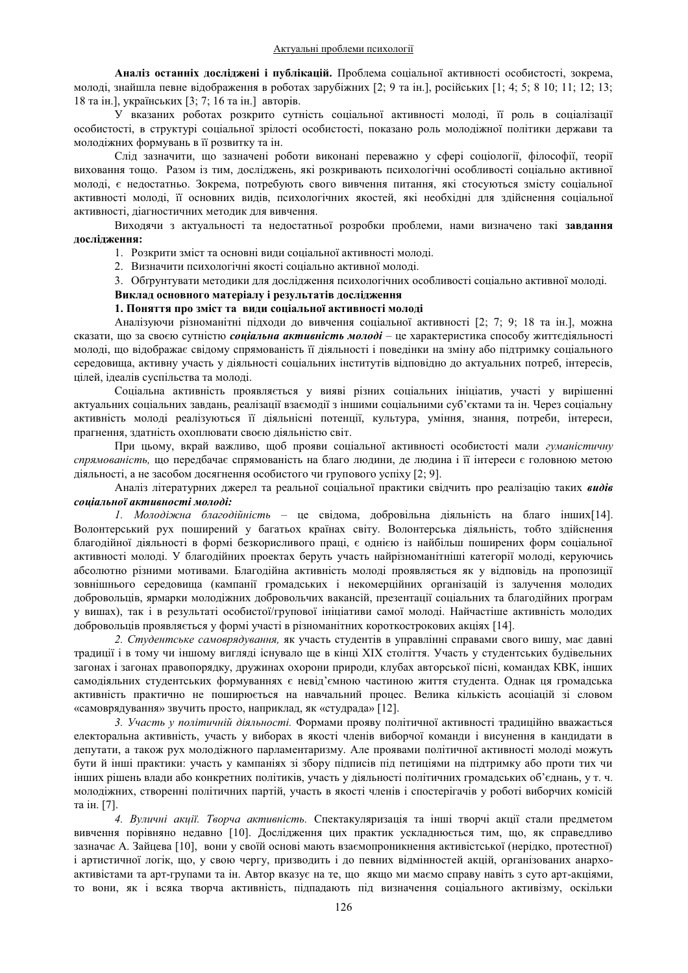Аналіз останніх досліджені і публікацій. Проблема соціальної активності особистості, зокрема, молоді, знайшла певне відображення в роботах зарубіжних [2; 9 та ін.], російських [1; 4; 5; 8 10; 11; 12; 13; 18 та ін.), українських [3; 7; 16 та ін.) авторів.

У вказаних роботах розкрито сутність соціальної активності молоді, її роль в соціалізації особистості, в структурі соціальної зрілості особистості, показано роль молодіжної політики держави та молодіжних формувань в її розвитку та ін.

Слід зазначити, що зазначені роботи виконані переважно у сфері соціології, філософії, теорії виховання тощо. Разом із тим, досліджень, які розкривають психологічні особливості соціально активної молоді, є недостатньо. Зокрема, потребують свого вивчення питання, які стосуються змісту соціальної активності молоді, її основних видів, психологічних якостей, які необхідні для здійснення соціальної активності, ліагностичних метолик для вивчення.

Виходячи з актуальності та недостатньої розробки проблеми, нами визначено такі завдання дослідження:

1. Розкрити зміст та основні види соціальної активності молоді.

2. Визначити психологічні якості соціально активної молоді.

3. Обгрунтувати методики для дослідження психологічних особливості соціально активної молоді.

Виклад основного матеріалу і результатів дослідження

# 1. Поняття про зміст та види соціальної активності молоді

Аналізуючи різноманітні підходи до вивчення соціальної активності [2; 7; 9; 18 та ін.], можна сказати, що за своєю сутністю *соціальна активність молоді* – це характеристика способу життєдіяльності молоді, що відображає свідому спрямованість її діяльності і поведінки на зміну або підтримку соціального середовища, активну участь у діяльності соціальних інститутів відповідно до актуальних потреб, інтересів, цілей, ідеалів суспільства та молоді.

Соціальна активність проявляється у вияві різних соціальних ініціатив, участі у вирішенні актуальних соціальних завдань, реалізації взаємодії з іншими соціальними суб'єктами та ін. Через соціальну активність молоді реалізуються її діяльнісні потенції, культура, уміння, знання, потреби, інтереси, прагнення, здатність охоплювати своєю діяльністю світ.

При цьому, вкрай важливо, щоб прояви соціальної активності особистості мали *гуманістичну* спрямованість, що передбачає спрямованість на благо людини, де людина і її інтереси є головною метою діяльності, а не засобом досягнення особистого чи групового успіху [2; 9].

Аналіз літературних джерел та реальної соціальної практики свідчить про реалізацію таких **видів**  $c$ *оиіальної активності молоді:* 

*1. Молодіжна благодійність* – це свідома, добровільна діяльність на благо інших[14]. Волонтерський рух поширений у багатьох країнах світу. Волонтерська діяльність, тобто здійснення благодійної діяльності в формі безкорисливого праці, є однією із найбільш поширених форм соціальної активності молоді. У благодійних проектах беруть участь найрізноманітніші категорії молоді, керуючись абсолютно різними мотивами. Благодійна активність молоді проявляється як у відповідь на пропозиції зовнішнього середовища (кампанії громадських і некомерційних організацій із залучення молодих добровольців, ярмарки молодіжних добровольчих вакансій, презентації соціальних та благодійних програм у вишах), так і в результаті особистої/групової ініціативи самої молоді. Найчастіше активність молодих добровольців проявляється у формі участі в різноманітних короткострокових акціях [14].

2. Студентське самоврядування, як участь студентів в управлінні справами свого вишу, має давні традиції і в тому чи іншому вигляді існувало ще в кінці XIX століття. Участь у студентських будівельних загонах і загонах правопорядку, дружинах охорони природи, клубах авторської пісні, командах КВК, інших самодіяльних студентських формуваннях є невід'ємною частиною життя студента. Однак ця громадська активність практично не поширюється на навчальний процес. Велика кількість асоціацій зі словом «самоврядування» звучить просто, наприклад, як «студрада» [12].

3. Участь у політичній діяльності. Формами прояву політичної активності традиційно вважається електоральна активність, участь у виборах в якості членів виборчої команди і висунення в кандидати в депутати, а також рух молодіжного парламентаризму. Але проявами політичної активності молоді можуть бути й інші практики: участь у кампаніях зі збору підписів під петиціями на підтримку або проти тих чи інших рішень влади або конкретних політиків, участь у діяльності політичних громадських об'єднань, у т. ч. молодіжних, створенні політичних партій, участь в якості членів і спостерігачів у роботі виборчих комісій та ін. [7].

4. Вуличні акції. Творча активність. Спектакуляризація та інші творчі акції стали предметом вивчення порівняно недавно [10]. Дослідження цих практик ускладнюється тим, що, як справедливо зазначає А. Зайцева [10], вони у своїй основі мають взаємопроникнення активістської (нерідко, протестної) і артистичної логік, що, у свою чергу, призводить і до певних відмінностей акцій, організованих анархоактивістами та арт-групами та ін. Автор вказує на те, що якщо ми маємо справу навіть з суто арт-акціями, то вони, як і всяка творча активність, підпадають під визначення соціального активізму, оскільки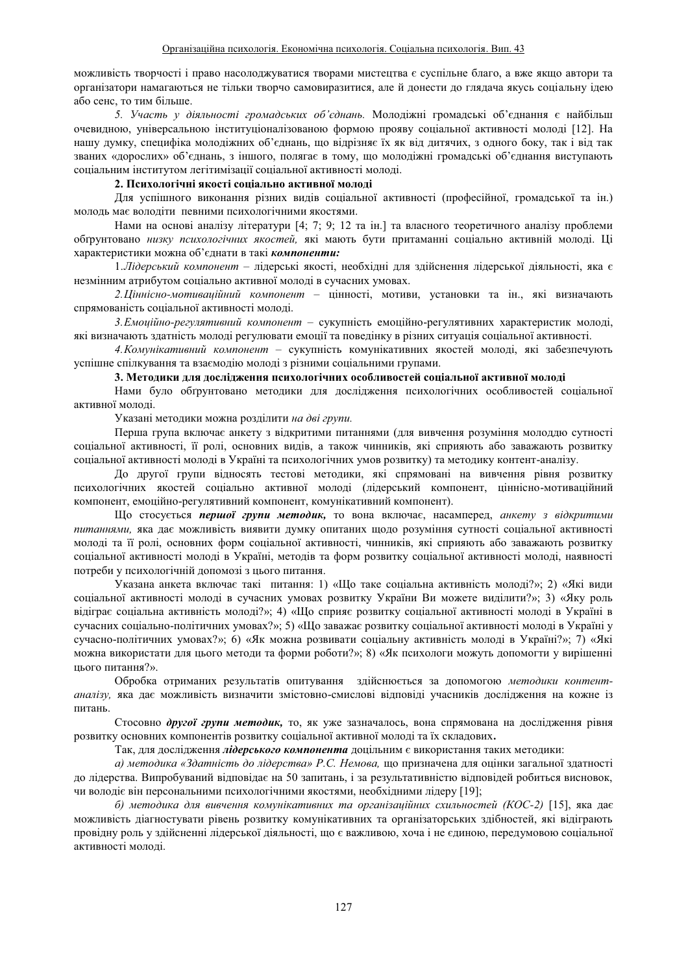можливість творчості і право насолоджуватися творами мистецтва є суспільне благо, а вже якщо автори та організатори намагаються не тільки творчо самовиразитися, але й донести до глядача якусь соціальну ідею або сенс, то тим більше.

5. Участь у діяльності громадських об'єднань. Молодіжні громадські об'єднання є найбільш очевидною, універсальною інституціоналізованою формою прояву соціальної активності молоді [12]. На нашу думку, специфіка молодіжних об'єднань, що відрізняє їх як від дитячих, з одного боку, так і від так званих «дорослих» об'єднань, з іншого, полягає в тому, що молодіжні громадські об'єднання виступають соціальним інститутом легітимізації соціальної активності молоді.

### 2. Психологічні якості соціально активної молоді

Для успішного виконання різних видів соціальної активності (професійної, громадської та ін.) молодь має володіти певними психологічними якостями.

Нами на основі аналізу літератури [4; 7; 9; 12 та ін.] та власного теоретичного аналізу проблеми обтрунтовано низку психологічних якостей, які мають бути притаманні соціально активній молоді. Ці характеристики можна об'єднати в такі **компоненти:** 

1.*Лідерський компонент* - лідерські якості, необхідні для здійснення лідерської діяльності, яка є незмінним атрибутом соціально активної молоді в сучасних умовах.

2.*Ціннісно-мотиваційний компонент* - цінності, мотиви, установки та ін., які визначають спрямованість соціальної активності молоді.

3.*Емоційно-регулятивний компонент* - сукупність емоційно-регулятивних характеристик молоді, які визначають здатність молоді регулювати емоції та поведінку в різних ситуація соціальної активності.

4. Комунікативний компонент - сукупність комунікативних якостей молоді, які забезпечують успішне спілкування та взаємодію молоді з різними соціальними групами.

## 3. Методики для дослідження психологічних особливостей соціальної активної молоді

Нами було обтрунтовано методики для дослідження психологічних особливостей соціальної активної молоді.

Указані методики можна розділити на дві групи.

Перша група включає анкету з відкритими питаннями (для вивчення розуміння молоддю сутності соціальної активності, її ролі, основних видів, а також чинників, які сприяють або заважають розвитку соціальної активності молоді в Україні та психологічних умов розвитку) та методику контент-аналізу.

До другої групи відносять тестові методики, які спрямовані на вивчення рівня розвитку психологічних якостей соціально активної молоді (лідерський компонент, ціннісно-мотиваційний компонент, емоційно-регулятивний компонент, комунікативний компонент).

Що стосується **першої групи методик**, то вона включає, насамперед, *анкету з відкритими* питаннями, яка дає можливість виявити думку опитаних щодо розуміння сутності соціальної активності молоді та її ролі, основних форм соціальної активності, чинників, які сприяють або заважають розвитку соціальної активності молоді в Україні, методів та форм розвитку соціальної активності молоді, наявності потреби у психологічній допомозі з цього питання.

Указана анкета включає такі питання: 1) «Що таке соціальна активність молоді?»; 2) «Які види соціальної активності молоді в сучасних умовах розвитку України Ви можете виділити?»; 3) «Яку роль відіграє соціальна активність молоді?»; 4) «Що сприяє розвитку соціальної активності молоді в Україні в сучасних соціально-політичних умовах?»; 5) «Що заважає розвитку соціальної активності молоді в Україні у сучасно-політичних умовах?»; 6) «Як можна розвивати соціальну активність молоді в Україні?»; 7) «Які можна використати для цього методи та форми роботи?»; 8) «Як психологи можуть допомогти у вирішенні цього питання?».

Обробка отриманих результатів опитування здійснюється за допомогою методики контентаналізу, яка дає можливість визначити змістовно-смислові відповіді учасників дослідження на кожне із питань.

Стосовно другої групи методик, то, як уже зазначалось, вона спрямована на дослідження рівня розвитку основних компонентів розвитку соціальної активної молоді та їх складових.

Так, для дослідження лідерського компонента доцільним є використання таких методики:

а) методика «Здатність до лідерства» Р.С. Немова, що призначена для оцінки загальної здатності до лідерства. Випробуваний відповідає на 50 запитань, і за результативністю відповідей робиться висновок, чи вололіє він персональними психологічними якостями, необхілними лілеру [19];

*б) методика для вивчення комунікативних та організаційних схильностей (КОС-2) [15], яка дає* можливість діагностувати рівень розвитку комунікативних та організаторських здібностей, які відіграють провілну роль у злійсненні лілерської ліяльності, що є важливою, хоча і не єлиною, перелумовою сопіальної активності молоді.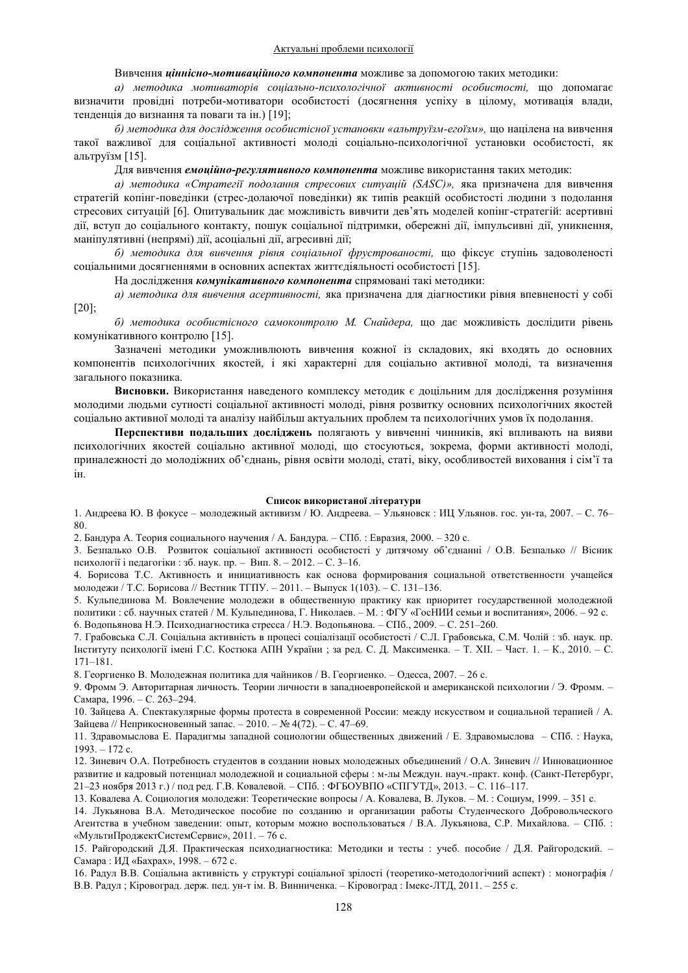## Вивчення иіннісно-мотиваиійного компонента можливе за допомогою таких методики:

a) методика мотиваторів соиіально-психологічної активності особистості, що допомагає визначити провідні потреби-мотиватори особистості (досягнення успіху в цілому, мотивація влади, тенденція до визнання та поваги та ін.) [19];

 $6)$  методика для дослідження особистісної установки «альтруїзм-егоїзм», що націлена на вивчення такої важливої для соціальної активності молоді соціально-психологічної установки особистості, як альтруїзм [15].

Для вивчення емоційно-регулятивного компонента можливе використання таких методик:

а) методика «Стратегії подолання стресових ситуацій (SASC)», яка призначена для вивчення стратегій копінг-повелінки (стрес-лолаючої повелінки) як типів реакцій особистості люлини з пололання стресових ситуацій [6]. Опитувальник дає можливість вивчити дев'ять моделей копінг-стратегій: асертивні дії, вступ до соціального контакту, пошук соціальної підтримки, обережні дії, імпульсивні дії, уникнення, маніпулятивні (непрямі) дії, асоціальні дії, агресивні дії;

 $6)$  методика для вивчення рівня соціальної фрустрованості, що фіксує ступінь задоволеності соціальними досягненнями в основних аспектах життєдіяльності особистості [15].

На дослідження комунікативного компонента спрямовані такі методики:

a) методика для вивчення асертивності, яка призначена для діагностики рівня впевненості у собі [20];

б) методика особистісного самоконтролю М. Снайдера, що дає можливість дослідити рівень комунікативного контролю [15].

Зазначені методики уможливлюють вивчення кожної із складових, які входять до основних компонентів психологічних якостей, і які характерні для соціально активної молоді, та визначення загального показника.

Висновки. Використання наведеного комплексу методик є доцільним для дослідження розуміння молодими людьми сутності соціальної активності молоді, рівня розвитку основних психологічних якостей соціально активної молоді та аналізу найбільш актуальних проблем та психологічних умов їх подолання.

Перспективи подальших досліджень полягають у вивченні чинників, які впливають на вияви психологічних якостей соціально активної молоді, що стосуються, зокрема, форми активності молоді, приналежності до молодіжних об'єднань, рівня освіти молоді, статі, віку, особливостей виховання і сім'ї та iн.

#### Список використаної літератури

1. Андреева Ю. В фокусе – молодежный активизм / Ю. Андреева. – Ульяновск : ИЦ Ульянов. гос. ун-та, 2007. – С. 76-80.

2. Бандура А. Теория социального научения / А. Бандура. - СПб.: Евразия, 2000. - 320 с.

3. Безпалько О.В. Розвиток соціальної активності особистості у дитячому об'єднанні / О.В. Безпалько // Вісник психології і педагогіки : зб. наук. пр. - Вип. 8. - 2012. - С. 3-16.

4. Борисова Т.С. Активность и инициативность как основа формирования социальной ответственности учащейся молодежи / Т.С. Борисова // Вестник ТГПУ. - 2011. - Выпуск 1(103). - С. 131-136.

5. Кульпединова М. Вовлечение молодежи в общественную практику как приоритет государственной молодежной политики : сб. научных статей / М. Кульпединова, Г. Николаев. - М. : ФГУ «ГосНИИ семьи и воспитания», 2006. - 92 с. 6. Водопьянова Н.Э. Психодиагностика стресса / Н.Э. Водопьянова. - СПб., 2009. - С. 251-260.

7. Грабовська С.Л. Соціальна активність в процесі соціалізації особистості / С.Л. Грабовська, С.М. Чолій: зб. наук. пр. Інституту психології імені Г.С. Костюка АПН України; за ред. С. Д. Максименка. - Т. XII. - Част. 1. - К., 2010. - С. 171±181.

8. Георгиенко В. Молодежная политика для чайников / В. Георгиенко. - Одесса, 2007. - 26 с.

9. Фромм Э. Авторитарная личность. Теории личности в западноевропейской и американской психологии / Э. Фромм. -Самара, 1996. - С. 263-294.

10. Зайцева А. Спектакулярные формы протеста в современной России: между искусством и социальной терапией / А. Зайцева // Неприкосновенный запас. - 2010. - № 4(72). - С. 47-69.

11. Здравомыслова Е. Парадигмы западной социологии общественных движений / Е. Здравомыслова – СПб. : Наука,  $1993. - 172$  c.

12. Зиневич О.А. Потребность студентов в создании новых молодежных объединений / О.А. Зиневич // Инновационное развитие и кадровый потенциал молодежной и социальной сферы : м-лы Междун. науч.-практ. конф. (Санкт-Петербург, 21-23 ноября 2013 г.) / под ред. Г.В. Ковалевой. - СПб.: ФГБОУВПО «СПГУТД», 2013. - С. 116-117.

13. Ковалева А. Социология молодежи: Теоретические вопросы / А. Ковалева, В. Луков. - М.: Социум, 1999. - 351 с.

14. Лукьянова В.А. Методическое пособие по созданию и организации работы Студенческого Добровольческого Агентства в учебном заведении: опыт, которым можно воспользоваться / В.А. Лукьянова, С.Р. Михайлова. - СПб. : «МультиПроджектСистемСервис», 2011. - 76 с.

15. Райгородский Д.Я. Практическая психодиагностика: Методики и тесты : учеб. пособие / Д.Я. Райгородский. -Самара: ИД «Бахрах», 1998. - 672 с.

16. Радул В.В. Соціальна активність у структурі соціальної зрілості (теоретико-методологічний аспект) : монографія / В.В. Радул; Кіровоград. держ. пед. ун-т ім. В. Винниченка. - Кіровоград: Імекс-ЛТД, 2011. - 255 с.